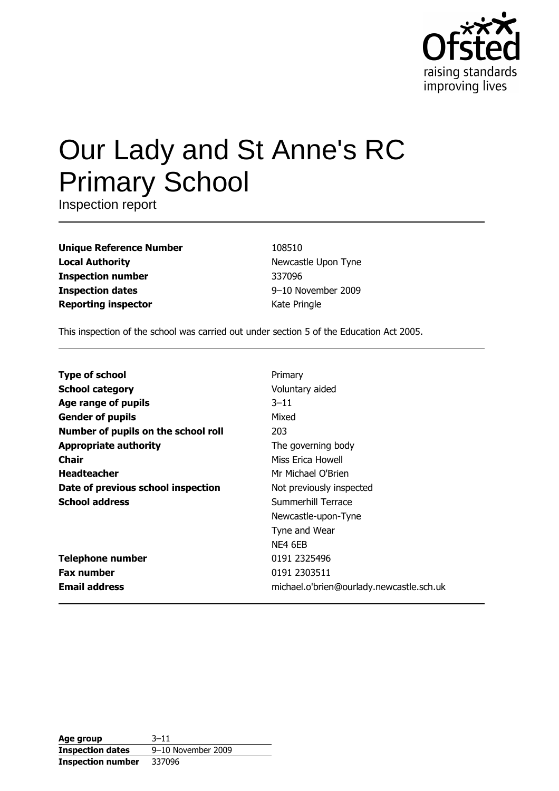

# Our Lady and St Anne's RC **Primary School**

Inspection report

| <b>Unique Reference Number</b> |
|--------------------------------|
| <b>Local Authority</b>         |
| <b>Inspection number</b>       |
| <b>Inspection dates</b>        |
| <b>Reporting inspector</b>     |

108510 Newcastle Upon Tyne 337096 9-10 November 2009 Kate Pringle

This inspection of the school was carried out under section 5 of the Education Act 2005.

| <b>Type of school</b>               | Primary                                  |
|-------------------------------------|------------------------------------------|
| <b>School category</b>              | Voluntary aided                          |
| Age range of pupils                 | $3 - 11$                                 |
| <b>Gender of pupils</b>             | Mixed                                    |
| Number of pupils on the school roll | 203                                      |
| <b>Appropriate authority</b>        | The governing body                       |
| Chair                               | Miss Erica Howell                        |
| <b>Headteacher</b>                  | Mr Michael O'Brien                       |
| Date of previous school inspection  | Not previously inspected                 |
| <b>School address</b>               | Summerhill Terrace                       |
|                                     | Newcastle-upon-Tyne                      |
|                                     | Tyne and Wear                            |
|                                     | NE4 6EB                                  |
| <b>Telephone number</b>             | 0191 2325496                             |
| <b>Fax number</b>                   | 0191 2303511                             |
| <b>Email address</b>                | michael.o'brien@ourlady.newcastle.sch.uk |

| Age group                | $3 - 11$           |  |  |
|--------------------------|--------------------|--|--|
| <b>Inspection dates</b>  | 9-10 November 2009 |  |  |
| <b>Inspection number</b> | 337096             |  |  |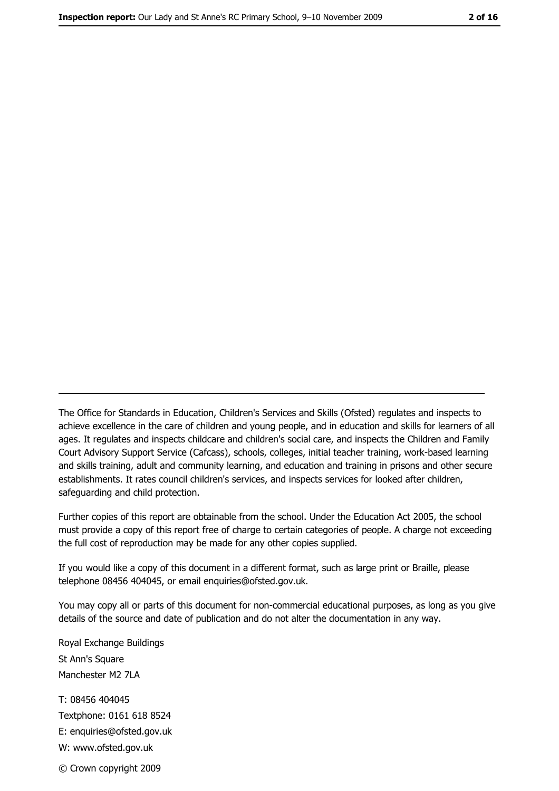The Office for Standards in Education, Children's Services and Skills (Ofsted) regulates and inspects to achieve excellence in the care of children and young people, and in education and skills for learners of all ages. It regulates and inspects childcare and children's social care, and inspects the Children and Family Court Advisory Support Service (Cafcass), schools, colleges, initial teacher training, work-based learning and skills training, adult and community learning, and education and training in prisons and other secure establishments. It rates council children's services, and inspects services for looked after children, safequarding and child protection.

Further copies of this report are obtainable from the school. Under the Education Act 2005, the school must provide a copy of this report free of charge to certain categories of people. A charge not exceeding the full cost of reproduction may be made for any other copies supplied.

If you would like a copy of this document in a different format, such as large print or Braille, please telephone 08456 404045, or email enquiries@ofsted.gov.uk.

You may copy all or parts of this document for non-commercial educational purposes, as long as you give details of the source and date of publication and do not alter the documentation in any way.

Royal Exchange Buildings St Ann's Square Manchester M2 7LA T: 08456 404045 Textphone: 0161 618 8524 E: enquiries@ofsted.gov.uk W: www.ofsted.gov.uk © Crown copyright 2009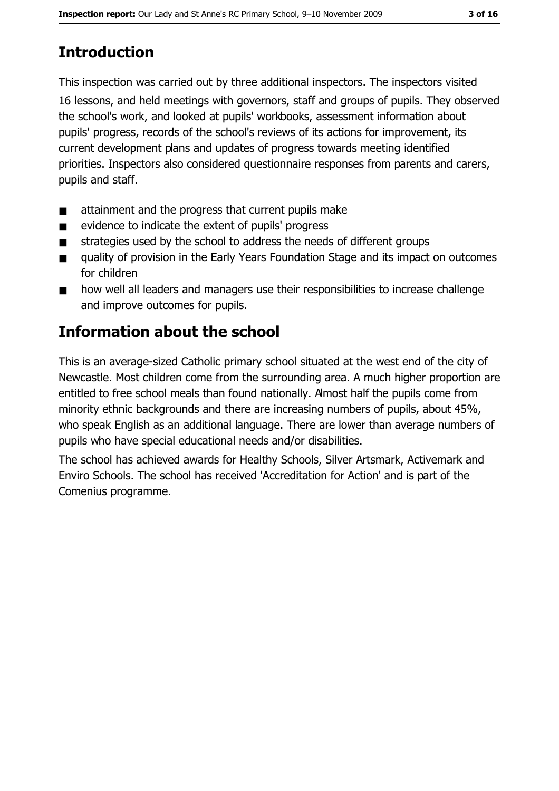# **Introduction**

This inspection was carried out by three additional inspectors. The inspectors visited

16 lessons, and held meetings with governors, staff and groups of pupils. They observed the school's work, and looked at pupils' workbooks, assessment information about pupils' progress, records of the school's reviews of its actions for improvement, its current development plans and updates of progress towards meeting identified priorities. Inspectors also considered questionnaire responses from parents and carers, pupils and staff.

- attainment and the progress that current pupils make  $\blacksquare$
- evidence to indicate the extent of pupils' progress  $\blacksquare$
- strategies used by the school to address the needs of different groups  $\blacksquare$
- quality of provision in the Early Years Foundation Stage and its impact on outcomes  $\blacksquare$ for children
- how well all leaders and managers use their responsibilities to increase challenge  $\blacksquare$ and improve outcomes for pupils.

# **Information about the school**

This is an average-sized Catholic primary school situated at the west end of the city of Newcastle. Most children come from the surrounding area. A much higher proportion are entitled to free school meals than found nationally. Amost half the pupils come from minority ethnic backgrounds and there are increasing numbers of pupils, about 45%, who speak English as an additional language. There are lower than average numbers of pupils who have special educational needs and/or disabilities.

The school has achieved awards for Healthy Schools, Silver Artsmark, Activemark and Enviro Schools. The school has received 'Accreditation for Action' and is part of the Comenius programme.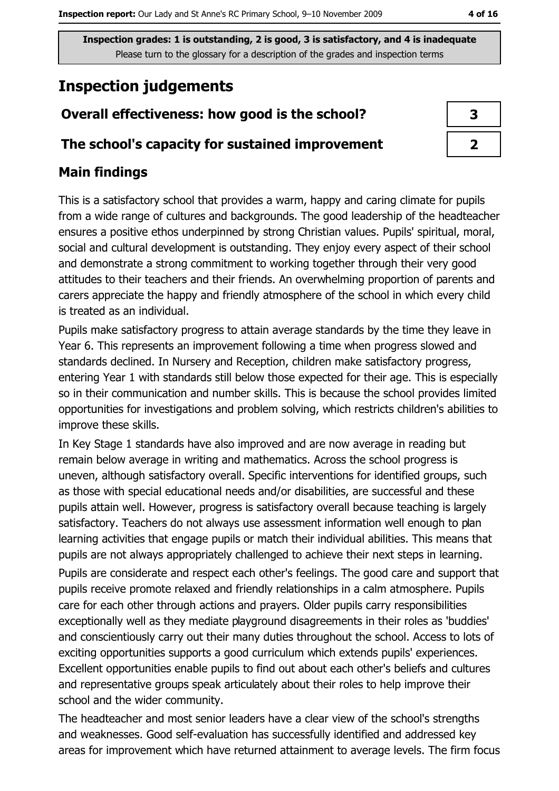# **Inspection judgements**

## Overall effectiveness: how good is the school?

#### The school's capacity for sustained improvement

## **Main findings**

This is a satisfactory school that provides a warm, happy and caring climate for pupils from a wide range of cultures and backgrounds. The good leadership of the headteacher ensures a positive ethos underpinned by strong Christian values. Pupils' spiritual, moral, social and cultural development is outstanding. They enjoy every aspect of their school and demonstrate a strong commitment to working together through their very good attitudes to their teachers and their friends. An overwhelming proportion of parents and carers appreciate the happy and friendly atmosphere of the school in which every child is treated as an individual.

Pupils make satisfactory progress to attain average standards by the time they leave in Year 6. This represents an improvement following a time when progress slowed and standards declined. In Nursery and Reception, children make satisfactory progress, entering Year 1 with standards still below those expected for their age. This is especially so in their communication and number skills. This is because the school provides limited opportunities for investigations and problem solving, which restricts children's abilities to improve these skills.

In Key Stage 1 standards have also improved and are now average in reading but remain below average in writing and mathematics. Across the school progress is uneven, although satisfactory overall. Specific interventions for identified groups, such as those with special educational needs and/or disabilities, are successful and these pupils attain well. However, progress is satisfactory overall because teaching is largely satisfactory. Teachers do not always use assessment information well enough to plan learning activities that engage pupils or match their individual abilities. This means that pupils are not always appropriately challenged to achieve their next steps in learning.

Pupils are considerate and respect each other's feelings. The good care and support that pupils receive promote relaxed and friendly relationships in a calm atmosphere. Pupils care for each other through actions and prayers. Older pupils carry responsibilities exceptionally well as they mediate playground disagreements in their roles as 'buddies' and conscientiously carry out their many duties throughout the school. Access to lots of exciting opportunities supports a good curriculum which extends pupils' experiences. Excellent opportunities enable pupils to find out about each other's beliefs and cultures and representative groups speak articulately about their roles to help improve their school and the wider community.

The headteacher and most senior leaders have a clear view of the school's strengths and weaknesses. Good self-evaluation has successfully identified and addressed key areas for improvement which have returned attainment to average levels. The firm focus

| З |  |
|---|--|
|   |  |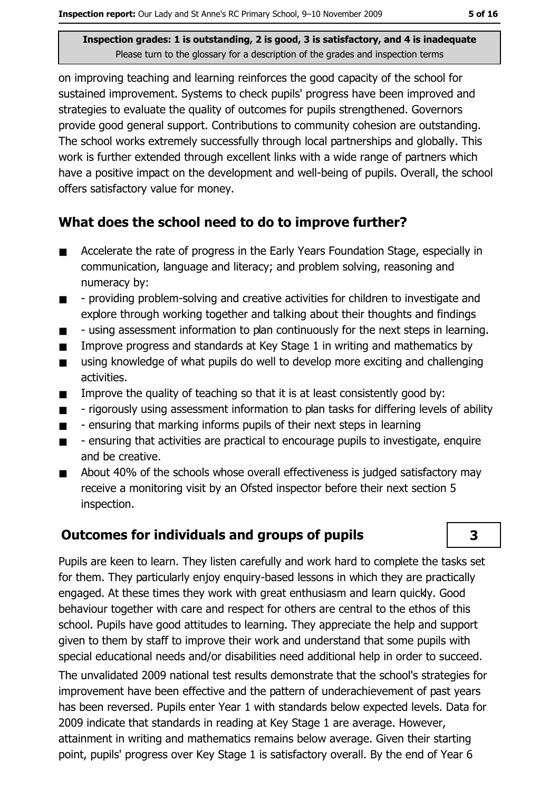on improving teaching and learning reinforces the good capacity of the school for sustained improvement. Systems to check pupils' progress have been improved and strategies to evaluate the quality of outcomes for pupils strengthened. Governors provide good general support. Contributions to community cohesion are outstanding. The school works extremely successfully through local partnerships and globally. This work is further extended through excellent links with a wide range of partners which have a positive impact on the development and well-being of pupils. Overall, the school offers satisfactory value for money.

#### What does the school need to do to improve further?

- Accelerate the rate of progress in the Early Years Foundation Stage, especially in  $\blacksquare$ communication, language and literacy; and problem solving, reasoning and numeracy by:
- providing problem-solving and creative activities for children to investigate and  $\blacksquare$ explore through working together and talking about their thoughts and findings
- using assessment information to plan continuously for the next steps in learning.  $\blacksquare$
- Improve progress and standards at Key Stage 1 in writing and mathematics by  $\blacksquare$
- using knowledge of what pupils do well to develop more exciting and challenging  $\blacksquare$ activities.
- Improve the quality of teaching so that it is at least consistently good by:  $\blacksquare$
- rigorously using assessment information to plan tasks for differing levels of ability  $\blacksquare$
- ensuring that marking informs pupils of their next steps in learning  $\blacksquare$
- ensuring that activities are practical to encourage pupils to investigate, enquire  $\blacksquare$ and be creative.
- About 40% of the schools whose overall effectiveness is judged satisfactory may  $\blacksquare$ receive a monitoring visit by an Ofsted inspector before their next section 5 inspection.

### **Outcomes for individuals and groups of pupils**

Pupils are keen to learn. They listen carefully and work hard to complete the tasks set for them. They particularly enjoy enguiry-based lessons in which they are practically engaged. At these times they work with great enthusiasm and learn guickly. Good behaviour together with care and respect for others are central to the ethos of this school. Pupils have good attitudes to learning. They appreciate the help and support given to them by staff to improve their work and understand that some pupils with special educational needs and/or disabilities need additional help in order to succeed. The unvalidated 2009 national test results demonstrate that the school's strategies for improvement have been effective and the pattern of underachievement of past years has been reversed. Pupils enter Year 1 with standards below expected levels. Data for 2009 indicate that standards in reading at Key Stage 1 are average. However, attainment in writing and mathematics remains below average. Given their starting point, pupils' progress over Key Stage 1 is satisfactory overall. By the end of Year 6

#### $\overline{\mathbf{3}}$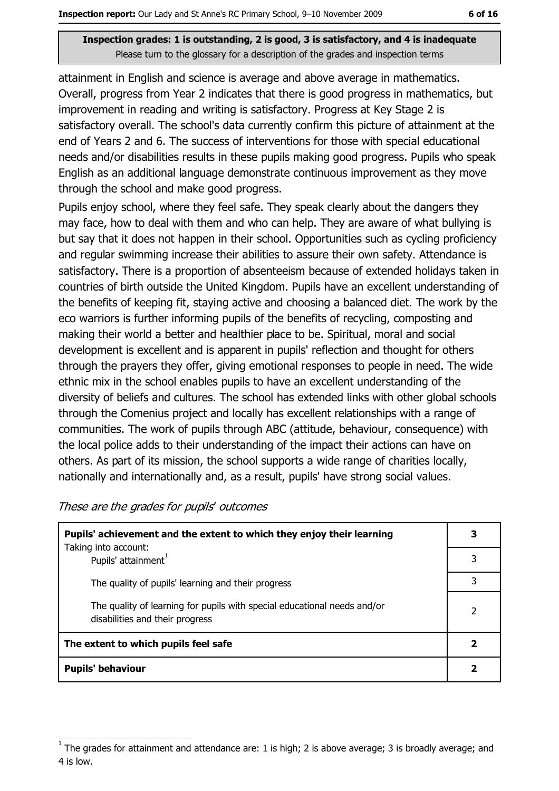attainment in English and science is average and above average in mathematics. Overall, progress from Year 2 indicates that there is good progress in mathematics, but improvement in reading and writing is satisfactory. Progress at Key Stage 2 is satisfactory overall. The school's data currently confirm this picture of attainment at the end of Years 2 and 6. The success of interventions for those with special educational needs and/or disabilities results in these pupils making good progress. Pupils who speak English as an additional language demonstrate continuous improvement as they move through the school and make good progress.

Pupils enjoy school, where they feel safe. They speak clearly about the dangers they may face, how to deal with them and who can help. They are aware of what bullying is but say that it does not happen in their school. Opportunities such as cycling proficiency and regular swimming increase their abilities to assure their own safety. Attendance is satisfactory. There is a proportion of absenteeism because of extended holidays taken in countries of birth outside the United Kingdom. Pupils have an excellent understanding of the benefits of keeping fit, staying active and choosing a balanced diet. The work by the eco warriors is further informing pupils of the benefits of recycling, composting and making their world a better and healthier place to be. Spiritual, moral and social development is excellent and is apparent in pupils' reflection and thought for others through the prayers they offer, giving emotional responses to people in need. The wide ethnic mix in the school enables pupils to have an excellent understanding of the diversity of beliefs and cultures. The school has extended links with other global schools through the Comenius project and locally has excellent relationships with a range of communities. The work of pupils through ABC (attitude, behaviour, consequence) with the local police adds to their understanding of the impact their actions can have on others. As part of its mission, the school supports a wide range of charities locally, nationally and internationally and, as a result, pupils' have strong social values.

| Pupils' achievement and the extent to which they enjoy their learning                                       |   |  |
|-------------------------------------------------------------------------------------------------------------|---|--|
| Taking into account:<br>Pupils' attainment <sup>1</sup>                                                     |   |  |
| The quality of pupils' learning and their progress                                                          | 3 |  |
| The quality of learning for pupils with special educational needs and/or<br>disabilities and their progress | 2 |  |
| The extent to which pupils feel safe                                                                        |   |  |
| <b>Pupils' behaviour</b>                                                                                    |   |  |

These are the grades for pupils' outcomes

The grades for attainment and attendance are: 1 is high; 2 is above average; 3 is broadly average; and 4 is low.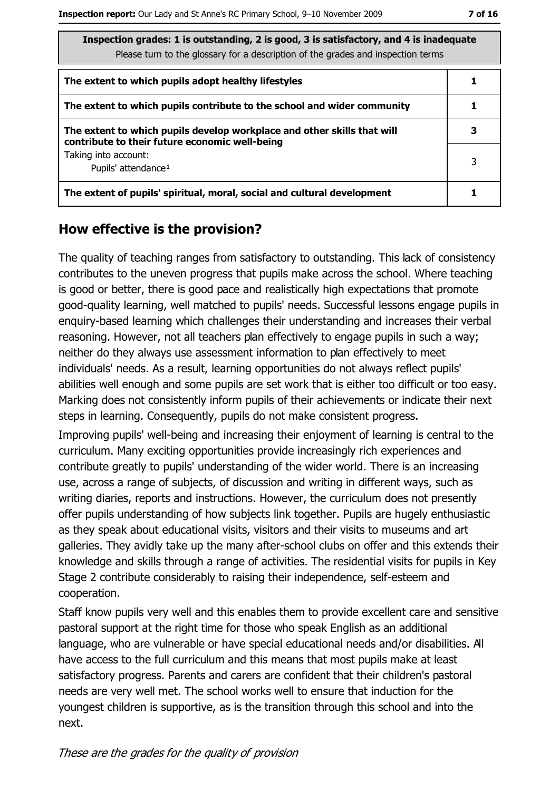| The Bection grades: 1 is outstanding, 2 is good, 3 is satisfactory, and 4 is inadequate<br>Please turn to the glossary for a description of the grades and inspection terms |   |
|-----------------------------------------------------------------------------------------------------------------------------------------------------------------------------|---|
| The extent to which pupils adopt healthy lifestyles                                                                                                                         |   |
| The extent to which pupils contribute to the school and wider community                                                                                                     |   |
| The extent to which pupils develop workplace and other skills that will<br>contribute to their future economic well-being                                                   | З |
| Taking into account:<br>Pupils' attendance <sup>1</sup>                                                                                                                     | 3 |
| The extent of pupils' spiritual, moral, social and cultural development                                                                                                     |   |

#### How effective is the provision?

The quality of teaching ranges from satisfactory to outstanding. This lack of consistency contributes to the uneven progress that pupils make across the school. Where teaching is good or better, there is good pace and realistically high expectations that promote good-quality learning, well matched to pupils' needs. Successful lessons engage pupils in enquiry-based learning which challenges their understanding and increases their verbal reasoning. However, not all teachers plan effectively to engage pupils in such a way; neither do they always use assessment information to plan effectively to meet individuals' needs. As a result, learning opportunities do not always reflect pupils' abilities well enough and some pupils are set work that is either too difficult or too easy. Marking does not consistently inform pupils of their achievements or indicate their next steps in learning. Consequently, pupils do not make consistent progress.

Improving pupils' well-being and increasing their enjoyment of learning is central to the curriculum. Many exciting opportunities provide increasingly rich experiences and contribute greatly to pupils' understanding of the wider world. There is an increasing use, across a range of subjects, of discussion and writing in different ways, such as writing diaries, reports and instructions. However, the curriculum does not presently offer pupils understanding of how subjects link together. Pupils are hugely enthusiastic as they speak about educational visits, visitors and their visits to museums and art galleries. They avidly take up the many after-school clubs on offer and this extends their knowledge and skills through a range of activities. The residential visits for pupils in Key Stage 2 contribute considerably to raising their independence, self-esteem and cooperation.

Staff know pupils very well and this enables them to provide excellent care and sensitive pastoral support at the right time for those who speak English as an additional language, who are vulnerable or have special educational needs and/or disabilities. All have access to the full curriculum and this means that most pupils make at least satisfactory progress. Parents and carers are confident that their children's pastoral needs are very well met. The school works well to ensure that induction for the youngest children is supportive, as is the transition through this school and into the next.

These are the grades for the quality of provision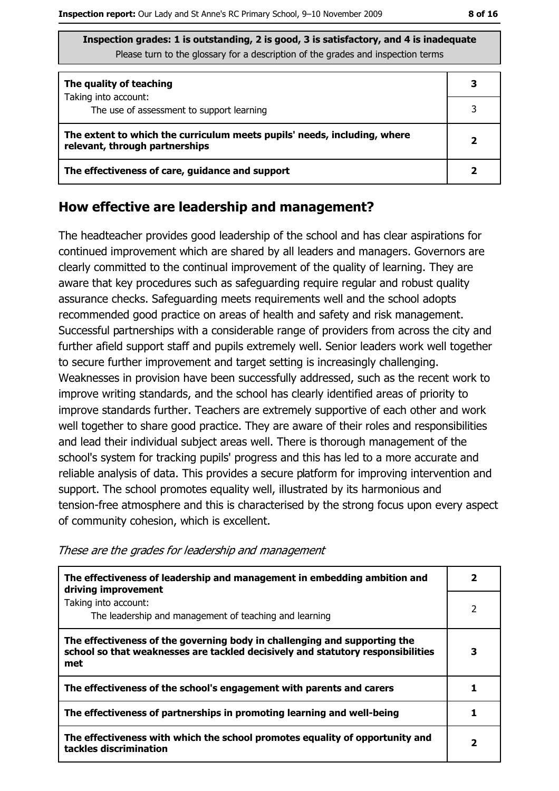| The quality of teaching                                                                                    |  |
|------------------------------------------------------------------------------------------------------------|--|
| Taking into account:<br>The use of assessment to support learning                                          |  |
| The extent to which the curriculum meets pupils' needs, including, where<br>relevant, through partnerships |  |
| The effectiveness of care, guidance and support                                                            |  |

#### How effective are leadership and management?

The headteacher provides good leadership of the school and has clear aspirations for continued improvement which are shared by all leaders and managers. Governors are clearly committed to the continual improvement of the quality of learning. They are aware that key procedures such as safeguarding require regular and robust quality assurance checks. Safeguarding meets requirements well and the school adopts recommended good practice on areas of health and safety and risk management. Successful partnerships with a considerable range of providers from across the city and further afield support staff and pupils extremely well. Senior leaders work well together to secure further improvement and target setting is increasingly challenging. Weaknesses in provision have been successfully addressed, such as the recent work to improve writing standards, and the school has clearly identified areas of priority to improve standards further. Teachers are extremely supportive of each other and work well together to share good practice. They are aware of their roles and responsibilities and lead their individual subject areas well. There is thorough management of the school's system for tracking pupils' progress and this has led to a more accurate and reliable analysis of data. This provides a secure platform for improving intervention and support. The school promotes equality well, illustrated by its harmonious and tension-free atmosphere and this is characterised by the strong focus upon every aspect of community cohesion, which is excellent.

The effectiveness of leadership and management in embedding ambition and  $\overline{2}$ driving improvement Taking into account:  $\overline{2}$ The leadership and management of teaching and learning The effectiveness of the governing body in challenging and supporting the school so that weaknesses are tackled decisively and statutory responsibilities  $\overline{\mathbf{3}}$ met The effectiveness of the school's engagement with parents and carers  $\mathbf{1}$ The effectiveness of partnerships in promoting learning and well-being  $\mathbf{1}$ The effectiveness with which the school promotes equality of opportunity and  $\overline{\mathbf{2}}$ tackles discrimination

These are the grades for leadership and management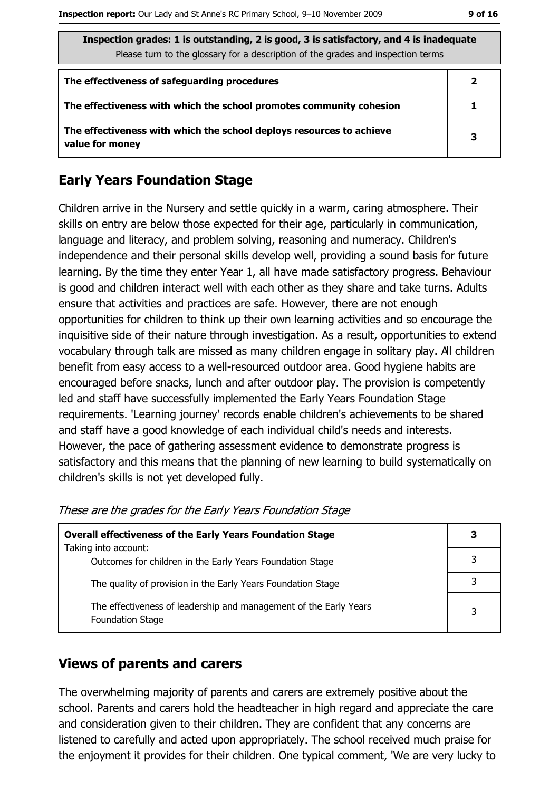| Inspection grades: 1 is outstanding, 2 is good, 3 is satisfactory, and 4 is inadequate<br>Please turn to the glossary for a description of the grades and inspection terms |   |  |
|----------------------------------------------------------------------------------------------------------------------------------------------------------------------------|---|--|
| The effectiveness of safeguarding procedures                                                                                                                               | 2 |  |
| The effectiveness with which the school promotes community cohesion                                                                                                        |   |  |
| The effectiveness with which the school deploys resources to achieve<br>value for money                                                                                    | 3 |  |

### **Early Years Foundation Stage**

Children arrive in the Nursery and settle quickly in a warm, caring atmosphere. Their skills on entry are below those expected for their age, particularly in communication, language and literacy, and problem solving, reasoning and numeracy. Children's independence and their personal skills develop well, providing a sound basis for future learning. By the time they enter Year 1, all have made satisfactory progress. Behaviour is good and children interact well with each other as they share and take turns. Adults ensure that activities and practices are safe. However, there are not enough opportunities for children to think up their own learning activities and so encourage the inquisitive side of their nature through investigation. As a result, opportunities to extend vocabulary through talk are missed as many children engage in solitary play. All children benefit from easy access to a well-resourced outdoor area. Good hygiene habits are encouraged before snacks, lunch and after outdoor play. The provision is competently led and staff have successfully implemented the Early Years Foundation Stage requirements. 'Learning journey' records enable children's achievements to be shared and staff have a good knowledge of each individual child's needs and interests. However, the pace of gathering assessment evidence to demonstrate progress is satisfactory and this means that the planning of new learning to build systematically on children's skills is not yet developed fully.

| Overall effectiveness of the Early Years Foundation Stage                                    | 3 |
|----------------------------------------------------------------------------------------------|---|
| Taking into account:<br>Outcomes for children in the Early Years Foundation Stage            |   |
| The quality of provision in the Early Years Foundation Stage                                 |   |
| The effectiveness of leadership and management of the Early Years<br><b>Foundation Stage</b> |   |

These are the grades for the Early Years Foundation Stage

#### **Views of parents and carers**

The overwhelming majority of parents and carers are extremely positive about the school. Parents and carers hold the headteacher in high regard and appreciate the care and consideration given to their children. They are confident that any concerns are listened to carefully and acted upon appropriately. The school received much praise for the enjoyment it provides for their children. One typical comment, 'We are very lucky to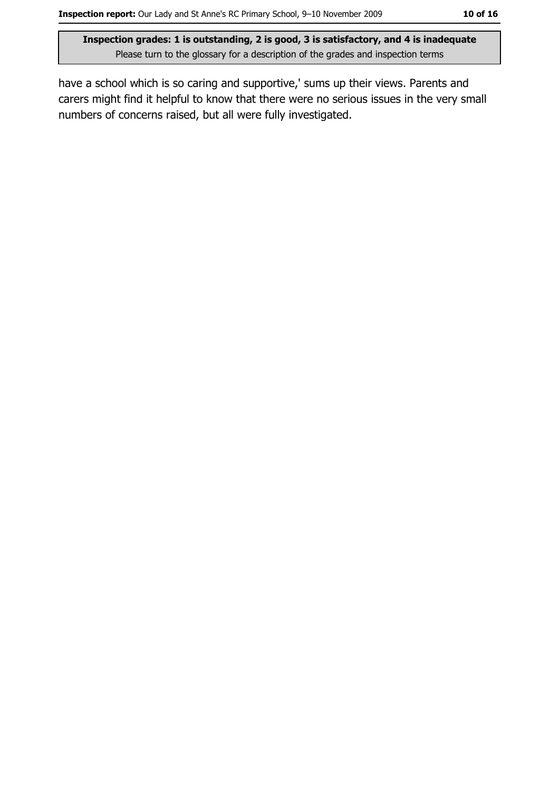have a school which is so caring and supportive,' sums up their views. Parents and carers might find it helpful to know that there were no serious issues in the very small numbers of concerns raised, but all were fully investigated.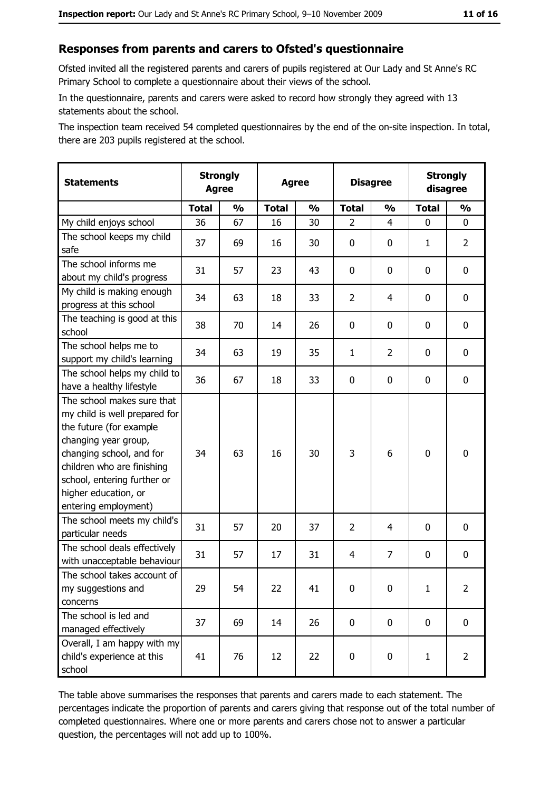#### Responses from parents and carers to Ofsted's questionnaire

Ofsted invited all the registered parents and carers of pupils registered at Our Lady and St Anne's RC Primary School to complete a questionnaire about their views of the school.

In the questionnaire, parents and carers were asked to record how strongly they agreed with 13 statements about the school.

The inspection team received 54 completed questionnaires by the end of the on-site inspection. In total, there are 203 pupils registered at the school.

| <b>Statements</b>                                                                                                                                                                                                                                       | <b>Strongly</b><br><b>Agree</b> |               |              | <b>Agree</b>  |                | <b>Disagree</b> |              | <b>Strongly</b><br>disagree |
|---------------------------------------------------------------------------------------------------------------------------------------------------------------------------------------------------------------------------------------------------------|---------------------------------|---------------|--------------|---------------|----------------|-----------------|--------------|-----------------------------|
|                                                                                                                                                                                                                                                         | <b>Total</b>                    | $\frac{0}{0}$ | <b>Total</b> | $\frac{0}{0}$ | <b>Total</b>   | $\frac{0}{0}$   | <b>Total</b> | $\frac{0}{0}$               |
| My child enjoys school                                                                                                                                                                                                                                  | 36                              | 67            | 16           | 30            | $\overline{2}$ | 4               | $\mathbf{0}$ | 0                           |
| The school keeps my child<br>safe                                                                                                                                                                                                                       | 37                              | 69            | 16           | 30            | $\mathbf 0$    | 0               | 1            | $\overline{2}$              |
| The school informs me<br>about my child's progress                                                                                                                                                                                                      | 31                              | 57            | 23           | 43            | 0              | 0               | 0            | 0                           |
| My child is making enough<br>progress at this school                                                                                                                                                                                                    | 34                              | 63            | 18           | 33            | $\overline{2}$ | 4               | 0            | 0                           |
| The teaching is good at this<br>school                                                                                                                                                                                                                  | 38                              | 70            | 14           | 26            | $\mathbf 0$    | 0               | 0            | 0                           |
| The school helps me to<br>support my child's learning                                                                                                                                                                                                   | 34                              | 63            | 19           | 35            | $\mathbf{1}$   | $\overline{2}$  | 0            | 0                           |
| The school helps my child to<br>have a healthy lifestyle                                                                                                                                                                                                | 36                              | 67            | 18           | 33            | $\mathbf 0$    | 0               | 0            | 0                           |
| The school makes sure that<br>my child is well prepared for<br>the future (for example<br>changing year group,<br>changing school, and for<br>children who are finishing<br>school, entering further or<br>higher education, or<br>entering employment) | 34                              | 63            | 16           | 30            | 3              | 6               | $\mathbf 0$  | 0                           |
| The school meets my child's<br>particular needs                                                                                                                                                                                                         | 31                              | 57            | 20           | 37            | $\overline{2}$ | 4               | 0            | 0                           |
| The school deals effectively<br>with unacceptable behaviour                                                                                                                                                                                             | 31                              | 57            | 17           | 31            | 4              | $\overline{7}$  | 0            | 0                           |
| The school takes account of<br>my suggestions and<br>concerns                                                                                                                                                                                           | 29                              | 54            | 22           | 41            | $\mathbf 0$    | 0               | $\mathbf{1}$ | $\overline{2}$              |
| The school is led and<br>managed effectively                                                                                                                                                                                                            | 37                              | 69            | 14           | 26            | $\mathbf 0$    | 0               | 0            | $\mathbf 0$                 |
| Overall, I am happy with my<br>child's experience at this<br>school                                                                                                                                                                                     | 41                              | 76            | 12           | 22            | $\pmb{0}$      | 0               | $\mathbf{1}$ | $\overline{2}$              |

The table above summarises the responses that parents and carers made to each statement. The percentages indicate the proportion of parents and carers giving that response out of the total number of completed questionnaires. Where one or more parents and carers chose not to answer a particular question, the percentages will not add up to 100%.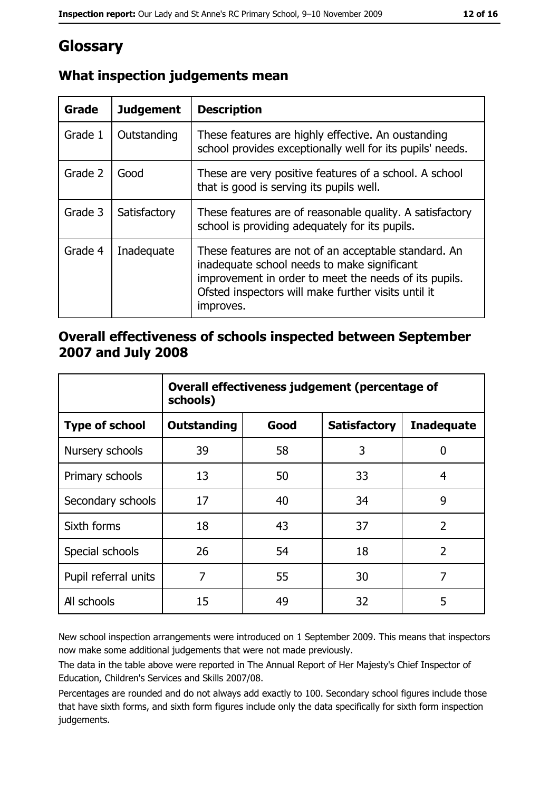## Glossary

| <b>Grade</b> | <b>Judgement</b> | <b>Description</b>                                                                                                                                                                                                               |  |
|--------------|------------------|----------------------------------------------------------------------------------------------------------------------------------------------------------------------------------------------------------------------------------|--|
| Grade 1      | Outstanding      | These features are highly effective. An oustanding<br>school provides exceptionally well for its pupils' needs.                                                                                                                  |  |
| Grade 2      | Good             | These are very positive features of a school. A school<br>that is good is serving its pupils well.                                                                                                                               |  |
| Grade 3      | Satisfactory     | These features are of reasonable quality. A satisfactory<br>school is providing adequately for its pupils.                                                                                                                       |  |
| Grade 4      | Inadequate       | These features are not of an acceptable standard. An<br>inadequate school needs to make significant<br>improvement in order to meet the needs of its pupils.<br>Ofsted inspectors will make further visits until it<br>improves. |  |

## What inspection judgements mean

#### Overall effectiveness of schools inspected between September 2007 and July 2008

|                       | Overall effectiveness judgement (percentage of<br>schools) |      |                     |                   |  |
|-----------------------|------------------------------------------------------------|------|---------------------|-------------------|--|
| <b>Type of school</b> | Outstanding                                                | Good | <b>Satisfactory</b> | <b>Inadequate</b> |  |
| Nursery schools       | 39                                                         | 58   | 3                   | 0                 |  |
| Primary schools       | 13                                                         | 50   | 33                  | 4                 |  |
| Secondary schools     | 17                                                         | 40   | 34                  | 9                 |  |
| Sixth forms           | 18                                                         | 43   | 37                  | $\overline{2}$    |  |
| Special schools       | 26                                                         | 54   | 18                  | $\overline{2}$    |  |
| Pupil referral units  | 7                                                          | 55   | 30                  | 7                 |  |
| All schools           | 15                                                         | 49   | 32                  | 5                 |  |

New school inspection arrangements were introduced on 1 September 2009. This means that inspectors now make some additional judgements that were not made previously.

The data in the table above were reported in The Annual Report of Her Majesty's Chief Inspector of Education, Children's Services and Skills 2007/08.

Percentages are rounded and do not always add exactly to 100. Secondary school figures include those that have sixth forms, and sixth form figures include only the data specifically for sixth form inspection judgements.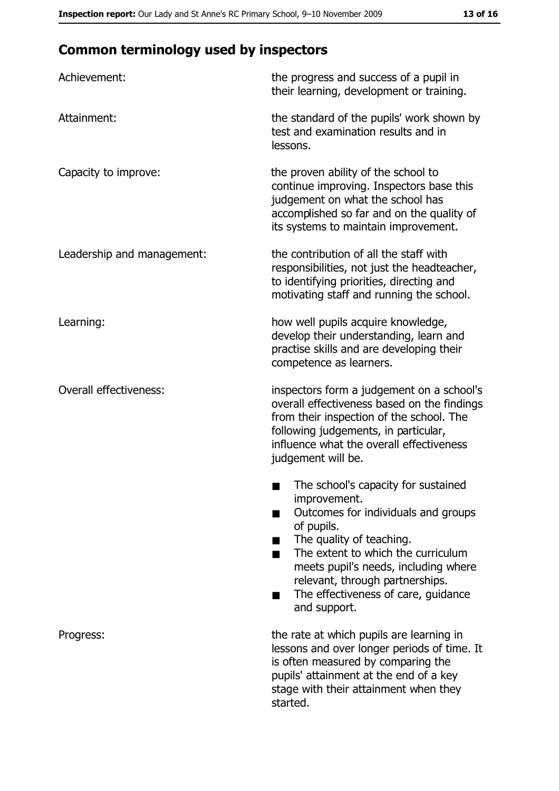# **Common terminology used by inspectors**

| Achievement:                  | the progress and success of a pupil in<br>their learning, development or training.                                                                                                                                                                                                                           |
|-------------------------------|--------------------------------------------------------------------------------------------------------------------------------------------------------------------------------------------------------------------------------------------------------------------------------------------------------------|
| Attainment:                   | the standard of the pupils' work shown by<br>test and examination results and in<br>lessons.                                                                                                                                                                                                                 |
| Capacity to improve:          | the proven ability of the school to<br>continue improving. Inspectors base this<br>judgement on what the school has<br>accomplished so far and on the quality of<br>its systems to maintain improvement.                                                                                                     |
| Leadership and management:    | the contribution of all the staff with<br>responsibilities, not just the headteacher,<br>to identifying priorities, directing and<br>motivating staff and running the school.                                                                                                                                |
| Learning:                     | how well pupils acquire knowledge,<br>develop their understanding, learn and<br>practise skills and are developing their<br>competence as learners.                                                                                                                                                          |
| <b>Overall effectiveness:</b> | inspectors form a judgement on a school's<br>overall effectiveness based on the findings<br>from their inspection of the school. The<br>following judgements, in particular,<br>influence what the overall effectiveness<br>judgement will be.                                                               |
|                               | The school's capacity for sustained<br>improvement.<br>Outcomes for individuals and groups<br>of pupils.<br>The quality of teaching.<br>The extent to which the curriculum<br>meets pupil's needs, including where<br>relevant, through partnerships.<br>The effectiveness of care, guidance<br>and support. |
| Progress:                     | the rate at which pupils are learning in<br>lessons and over longer periods of time. It<br>is often measured by comparing the<br>pupils' attainment at the end of a key<br>stage with their attainment when they<br>started.                                                                                 |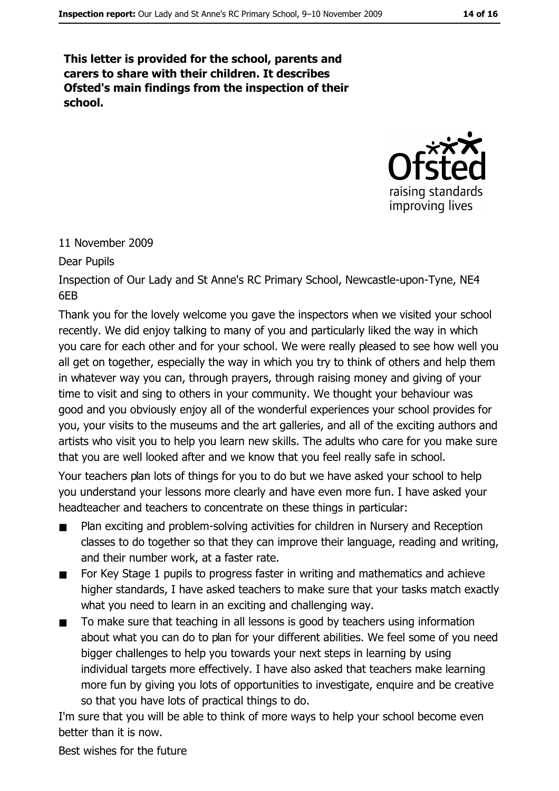This letter is provided for the school, parents and carers to share with their children. It describes Ofsted's main findings from the inspection of their school.



#### 11 November 2009

Dear Pupils

Inspection of Our Lady and St Anne's RC Primary School, Newcastle-upon-Tyne, NE4 6F<sub>B</sub>

Thank you for the lovely welcome you gave the inspectors when we visited your school recently. We did enjoy talking to many of you and particularly liked the way in which you care for each other and for your school. We were really pleased to see how well you all get on together, especially the way in which you try to think of others and help them in whatever way you can, through prayers, through raising money and giving of your time to visit and sing to others in your community. We thought your behaviour was good and you obviously enjoy all of the wonderful experiences your school provides for you, your visits to the museums and the art galleries, and all of the exciting authors and artists who visit you to help you learn new skills. The adults who care for you make sure that you are well looked after and we know that you feel really safe in school.

Your teachers plan lots of things for you to do but we have asked your school to help you understand your lessons more clearly and have even more fun. I have asked your headteacher and teachers to concentrate on these things in particular:

- Plan exciting and problem-solving activities for children in Nursery and Reception  $\blacksquare$ classes to do together so that they can improve their language, reading and writing, and their number work, at a faster rate.
- For Key Stage 1 pupils to progress faster in writing and mathematics and achieve  $\blacksquare$ higher standards, I have asked teachers to make sure that your tasks match exactly what you need to learn in an exciting and challenging way.
- To make sure that teaching in all lessons is good by teachers using information  $\blacksquare$ about what you can do to plan for your different abilities. We feel some of you need bigger challenges to help you towards your next steps in learning by using individual targets more effectively. I have also asked that teachers make learning more fun by giving you lots of opportunities to investigate, enguire and be creative so that you have lots of practical things to do.

I'm sure that you will be able to think of more ways to help your school become even better than it is now.

Best wishes for the future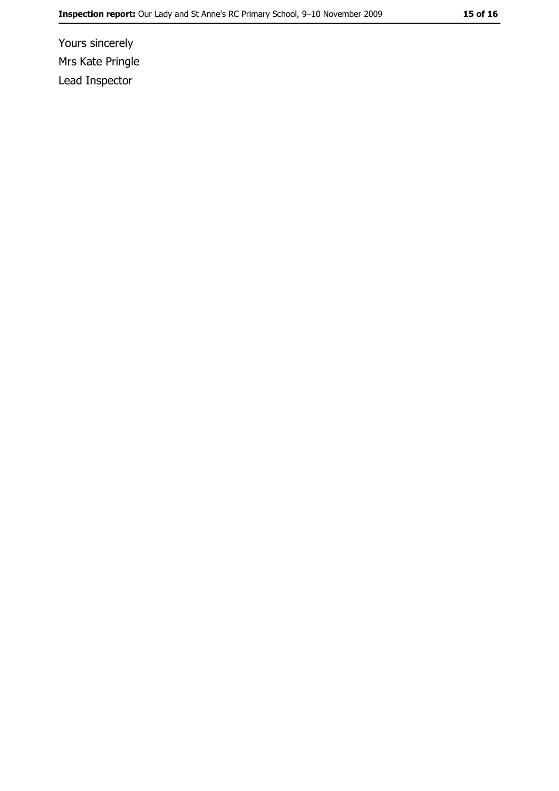Yours sincerely Mrs Kate Pringle Lead Inspector